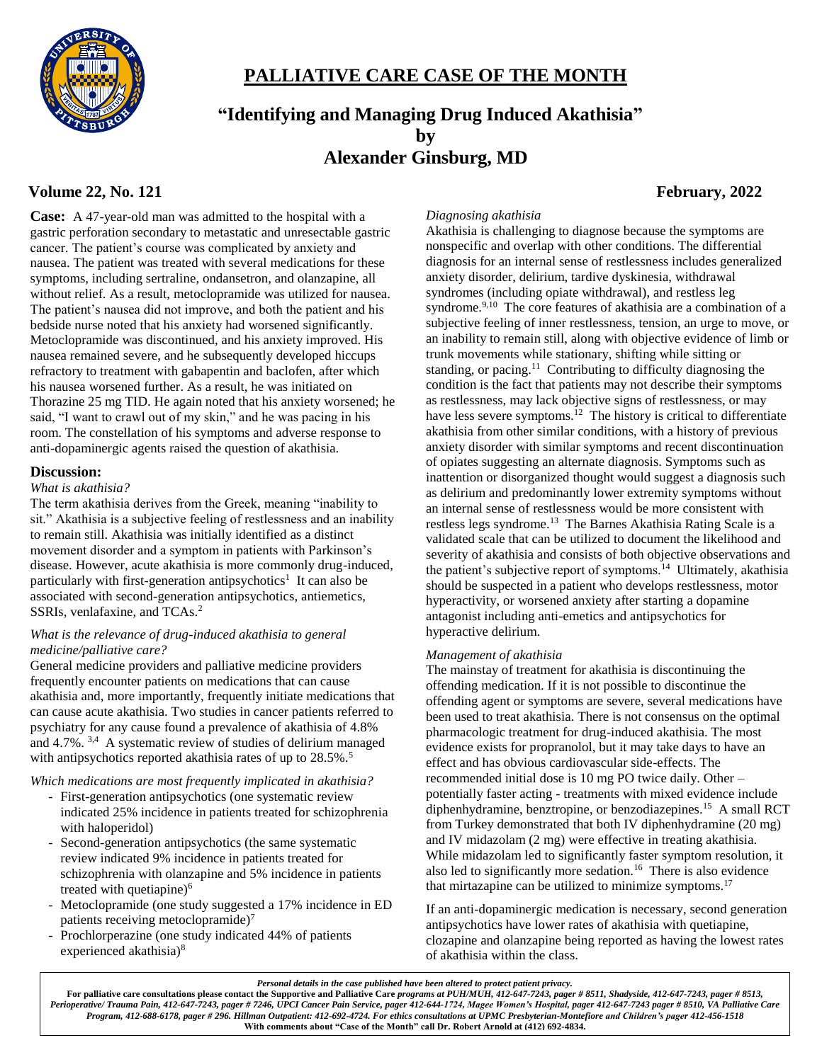

## **PALLIATIVE CARE CASE OF THE MONTH**

# **"Identifying and Managing Drug Induced Akathisia" by Alexander Ginsburg, MD**

## **Volume 22, No. 121 February, 2022**

**Case:** A 47-year-old man was admitted to the hospital with a gastric perforation secondary to metastatic and unresectable gastric cancer. The patient's course was complicated by anxiety and nausea. The patient was treated with several medications for these symptoms, including sertraline, ondansetron, and olanzapine, all without relief. As a result, metoclopramide was utilized for nausea. The patient's nausea did not improve, and both the patient and his bedside nurse noted that his anxiety had worsened significantly. Metoclopramide was discontinued, and his anxiety improved. His nausea remained severe, and he subsequently developed hiccups refractory to treatment with gabapentin and baclofen, after which his nausea worsened further. As a result, he was initiated on Thorazine 25 mg TID. He again noted that his anxiety worsened; he said, "I want to crawl out of my skin," and he was pacing in his room. The constellation of his symptoms and adverse response to anti-dopaminergic agents raised the question of akathisia.

#### **Discussion:**

#### *What is akathisia?*

The term akathisia derives from the Greek, meaning "inability to sit." Akathisia is a subjective feeling of restlessness and an inability to remain still. Akathisia was initially identified as a distinct movement disorder and a symptom in patients with Parkinson's disease. However, acute akathisia is more commonly drug-induced, particularly with first-generation antipsychotics<sup>1</sup> It can also be associated with second-generation antipsychotics, antiemetics, SSRIs, venlafaxine, and TCAs.<sup>2</sup>

#### *What is the relevance of drug-induced akathisia to general medicine/palliative care?*

General medicine providers and palliative medicine providers frequently encounter patients on medications that can cause akathisia and, more importantly, frequently initiate medications that can cause acute akathisia. Two studies in cancer patients referred to psychiatry for any cause found a prevalence of akathisia of 4.8% and 4.7%. 3,4 A systematic review of studies of delirium managed with antipsychotics reported akathisia rates of up to 28.5%.<sup>5</sup>

#### *Which medications are most frequently implicated in akathisia?*

- First-generation antipsychotics (one systematic review indicated 25% incidence in patients treated for schizophrenia with haloperidol)
- Second-generation antipsychotics (the same systematic review indicated 9% incidence in patients treated for schizophrenia with olanzapine and 5% incidence in patients treated with quetiapine $6$
- Metoclopramide (one study suggested a 17% incidence in ED patients receiving metoclopramide) $<sup>7</sup>$ </sup>
- Prochlorperazine (one study indicated 44% of patients experienced akathisia)<sup>8</sup>

#### *Diagnosing akathisia*

Akathisia is challenging to diagnose because the symptoms are nonspecific and overlap with other conditions. The differential diagnosis for an internal sense of restlessness includes generalized anxiety disorder, delirium, tardive dyskinesia, withdrawal syndromes (including opiate withdrawal), and restless leg syndrome.<sup>9,10</sup> The core features of akathisia are a combination of a subjective feeling of inner restlessness, tension, an urge to move, or an inability to remain still, along with objective evidence of limb or trunk movements while stationary, shifting while sitting or standing, or pacing.<sup>11</sup> Contributing to difficulty diagnosing the condition is the fact that patients may not describe their symptoms as restlessness, may lack objective signs of restlessness, or may have less severe symptoms.<sup>12</sup> The history is critical to differentiate akathisia from other similar conditions, with a history of previous anxiety disorder with similar symptoms and recent discontinuation of opiates suggesting an alternate diagnosis. Symptoms such as inattention or disorganized thought would suggest a diagnosis such as delirium and predominantly lower extremity symptoms without an internal sense of restlessness would be more consistent with restless legs syndrome.<sup>13</sup> The Barnes Akathisia Rating Scale is a validated scale that can be utilized to document the likelihood and severity of akathisia and consists of both objective observations and the patient's subjective report of symptoms.<sup>14</sup> Ultimately, akathisia should be suspected in a patient who develops restlessness, motor hyperactivity, or worsened anxiety after starting a dopamine antagonist including anti-emetics and antipsychotics for hyperactive delirium.

#### *Management of akathisia*

The mainstay of treatment for akathisia is discontinuing the offending medication. If it is not possible to discontinue the offending agent or symptoms are severe, several medications have been used to treat akathisia. There is not consensus on the optimal pharmacologic treatment for drug-induced akathisia. The most evidence exists for propranolol, but it may take days to have an effect and has obvious cardiovascular side-effects. The recommended initial dose is 10 mg PO twice daily. Other – potentially faster acting - treatments with mixed evidence include diphenhydramine, benztropine, or benzodiazepines.<sup>15</sup> A small RCT from Turkey demonstrated that both IV diphenhydramine (20 mg) and IV midazolam (2 mg) were effective in treating akathisia. While midazolam led to significantly faster symptom resolution, it also led to significantly more sedation.<sup>16</sup> There is also evidence that mirtazapine can be utilized to minimize symptoms.<sup>17</sup>

If an anti-dopaminergic medication is necessary, second generation antipsychotics have lower rates of akathisia with quetiapine, clozapine and olanzapine being reported as having the lowest rates of akathisia within the class.

*Personal details in the case published have been altered to protect patient privacy.*

For palliative care consultations please contact the Supportive and Palliative Care programs at PUH/MUH, 412-647-7243, pager # 8511, Shadyside, 412-647-7243, pager # 8513, *Perioperative/ Trauma Pain, 412-647-7243, pager # 7246, UPCI Cancer Pain Service, pager 412-644-1724, Magee Women's Hospital, pager 412-647-7243 pager # 8510, VA Palliative Care Program, 412-688-6178, pager # 296. Hillman Outpatient: 412-692-4724. For ethics consultations at UPMC Presbyterian-Montefiore and Children's pager 412-456-1518* **With comments about "Case of the Month" call Dr. Robert Arnold at (412) 692-4834.**